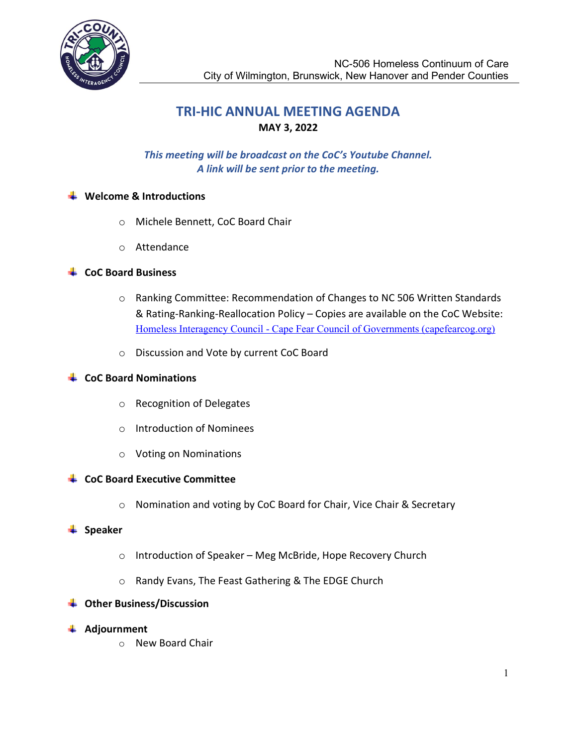

# TRI-HIC ANNUAL MEETING AGENDA MAY 3, 2022

# This meeting will be broadcast on the CoC's Youtube Channel. A link will be sent prior to the meeting.

### $\bigstar$  Welcome & Introductions

- o Michele Bennett, CoC Board Chair
- o Attendance

## $\downarrow$  CoC Board Business

- o Ranking Committee: Recommendation of Changes to NC 506 Written Standards & Rating-Ranking-Reallocation Policy – Copies are available on the CoC Website: Homeless Interagency Council - Cape Fear Council of Governments (capefearcog.org)
- o Discussion and Vote by current CoC Board

## $\leftarrow$  CoC Board Nominations

- o Recognition of Delegates
- o Introduction of Nominees
- o Voting on Nominations

### $\leftarrow$  CoC Board Executive Committee

o Nomination and voting by CoC Board for Chair, Vice Chair & Secretary

### $\frac{1}{2}$  Speaker

- o Introduction of Speaker Meg McBride, Hope Recovery Church
- o Randy Evans, The Feast Gathering & The EDGE Church

# **↓** Other Business/Discussion

- **↓** Adjournment
	- o New Board Chair